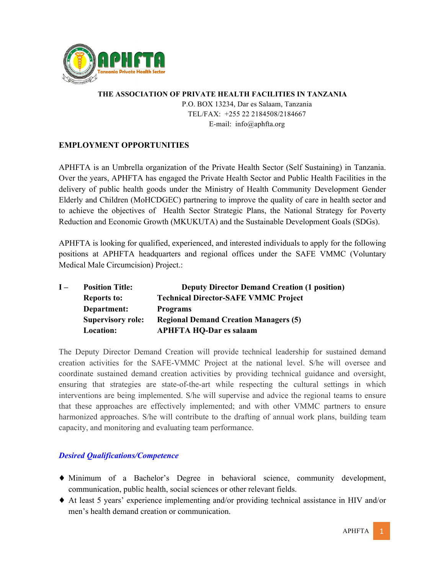

## **THE ASSOCIATION OF PRIVATE HEALTH FACILITIES IN TANZANIA**  P.O. BOX 13234, Dar es Salaam, Tanzania TEL/FAX: +255 22 2184508/2184667 E-mail: info@aphfta.org

# **EMPLOYMENT OPPORTUNITIES**

APHFTA is an Umbrella organization of the Private Health Sector (Self Sustaining) in Tanzania. Over the years, APHFTA has engaged the Private Health Sector and Public Health Facilities in the delivery of public health goods under the Ministry of Health Community Development Gender Elderly and Children (MoHCDGEC) partnering to improve the quality of care in health sector and to achieve the objectives of Health Sector Strategic Plans, the National Strategy for Poverty Reduction and Economic Growth (MKUKUTA) and the Sustainable Development Goals (SDGs).

APHFTA is looking for qualified, experienced, and interested individuals to apply for the following positions at APHFTA headquarters and regional offices under the SAFE VMMC (Voluntary Medical Male Circumcision) Project.:

| $I -$ | <b>Position Title:</b>   | <b>Deputy Director Demand Creation (1 position)</b> |
|-------|--------------------------|-----------------------------------------------------|
|       | <b>Reports to:</b>       | <b>Technical Director-SAFE VMMC Project</b>         |
|       | Department:              | <b>Programs</b>                                     |
|       | <b>Supervisory role:</b> | <b>Regional Demand Creation Managers (5)</b>        |
|       | <b>Location:</b>         | <b>APHFTA HQ-Dar es salaam</b>                      |

The Deputy Director Demand Creation will provide technical leadership for sustained demand creation activities for the SAFE-VMMC Project at the national level. S/he will oversee and coordinate sustained demand creation activities by providing technical guidance and oversight, ensuring that strategies are state-of-the-art while respecting the cultural settings in which interventions are being implemented. S/he will supervise and advice the regional teams to ensure that these approaches are effectively implemented; and with other VMMC partners to ensure harmonized approaches. S/he will contribute to the drafting of annual work plans, building team capacity, and monitoring and evaluating team performance.

- ♦ Minimum of a Bachelor's Degree in behavioral science, community development, communication, public health, social sciences or other relevant fields.
- ♦ At least 5 years' experience implementing and/or providing technical assistance in HIV and/or men's health demand creation or communication.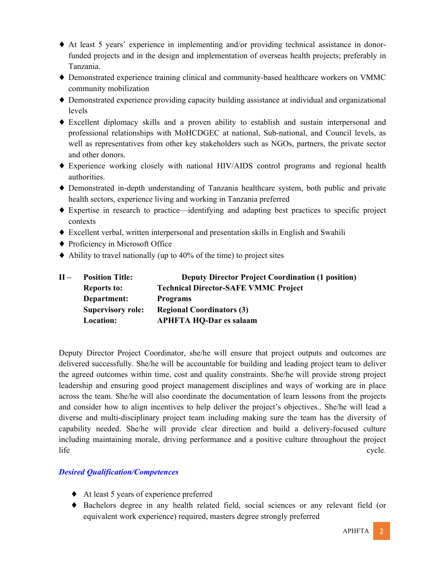- ♦ At least 5 years' experience in implementing and/or providing technical assistance in donorfunded projects and in the design and implementation of overseas health projects; preferably in Tanzania.
- ♦ Demonstrated experience training clinical and community-based healthcare workers on VMMC community mobilization
- ♦ Demonstrated experience providing capacity building assistance at individual and organizational levels
- ♦ Excellent diplomacy skills and a proven ability to establish and sustain interpersonal and professional relationships with MoHCDGEC at national, Sub-national, and Council levels, as well as representatives from other key stakeholders such as NGOs, partners, the private sector and other donors.
- ♦ Experience working closely with national HIV/AIDS control programs and regional health authorities.
- ♦ Demonstrated in-depth understanding of Tanzania healthcare system, both public and private health sectors, experience living and working in Tanzania preferred
- ♦ Expertise in research to practice—identifying and adapting best practices to specific project contexts
- ♦ Excellent verbal, written interpersonal and presentation skills in English and Swahili
- ♦ Proficiency in Microsoft Office
- $\blacklozenge$  Ability to travel nationally (up to 40% of the time) to project sites

| $H -$ | <b>Position Title:</b>   | <b>Deputy Director Project Coordination (1 position)</b> |
|-------|--------------------------|----------------------------------------------------------|
|       | <b>Reports to:</b>       | <b>Technical Director-SAFE VMMC Project</b>              |
|       | Department:              | <b>Programs</b>                                          |
|       | <b>Supervisory role:</b> | <b>Regional Coordinators (3)</b>                         |
|       | Location:                | <b>APHFTA HQ-Dar es salaam</b>                           |

Deputy Director Project Coordinator, she/he will ensure that project outputs and outcomes are delivered successfully. She/he will be accountable for building and leading project team to deliver the agreed outcomes within time, cost and quality constraints. She/he will provide strong project leadership and ensuring good project management disciplines and ways of working are in place across the team. She/he will also coordinate the documentation of learn lessons from the projects and consider how to align incentives to help deliver the project's objectives.. She/he will lead a diverse and multi-disciplinary project team including making sure the team has the diversity of capability needed. She/he will provide clear direction and build a delivery-focused culture including maintaining morale, driving performance and a positive culture throughout the project life cycle.

- ♦ At least 5 years of experience preferred
- ♦ Bachelors degree in any health related field, social sciences or any relevant field (or equivalent work experience) required, masters degree strongly preferred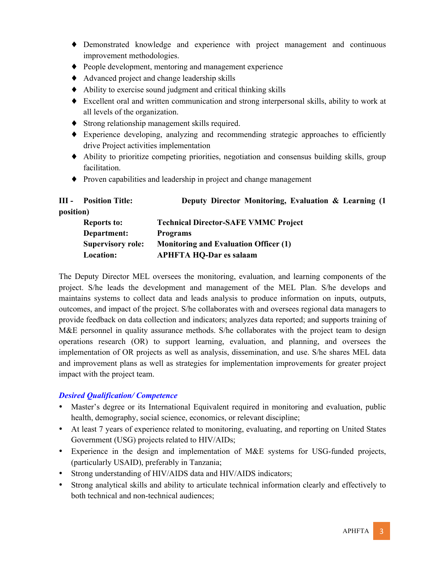- ♦ Demonstrated knowledge and experience with project management and continuous improvement methodologies.
- ♦ People development, mentoring and management experience
- ♦ Advanced project and change leadership skills
- ♦ Ability to exercise sound judgment and critical thinking skills
- ♦ Excellent oral and written communication and strong interpersonal skills, ability to work at all levels of the organization.
- ♦ Strong relationship management skills required.
- ♦ Experience developing, analyzing and recommending strategic approaches to efficiently drive Project activities implementation
- ♦ Ability to prioritize competing priorities, negotiation and consensus building skills, group facilitation.
- ♦ Proven capabilities and leadership in project and change management

| Ш-        | <b>Position Title:</b>   | Deputy Director Monitoring, Evaluation & Learning (1) |
|-----------|--------------------------|-------------------------------------------------------|
| position) |                          |                                                       |
|           | <b>Reports to:</b>       | <b>Technical Director-SAFE VMMC Project</b>           |
|           | Department:              | <b>Programs</b>                                       |
|           | <b>Supervisory role:</b> | <b>Monitoring and Evaluation Officer (1)</b>          |
|           | Location:                | <b>APHFTA HQ-Dar es salaam</b>                        |

The Deputy Director MEL oversees the monitoring, evaluation, and learning components of the project. S/he leads the development and management of the MEL Plan. S/he develops and maintains systems to collect data and leads analysis to produce information on inputs, outputs, outcomes, and impact of the project. S/he collaborates with and oversees regional data managers to provide feedback on data collection and indicators; analyzes data reported; and supports training of M&E personnel in quality assurance methods. S/he collaborates with the project team to design operations research (OR) to support learning, evaluation, and planning, and oversees the implementation of OR projects as well as analysis, dissemination, and use. S/he shares MEL data and improvement plans as well as strategies for implementation improvements for greater project impact with the project team.

- Master's degree or its International Equivalent required in monitoring and evaluation, public health, demography, social science, economics, or relevant discipline;
- At least 7 years of experience related to monitoring, evaluating, and reporting on United States Government (USG) projects related to HIV/AIDs;
- Experience in the design and implementation of M&E systems for USG-funded projects, (particularly USAID), preferably in Tanzania;
- Strong understanding of HIV/AIDS data and HIV/AIDS indicators;
- Strong analytical skills and ability to articulate technical information clearly and effectively to both technical and non-technical audiences;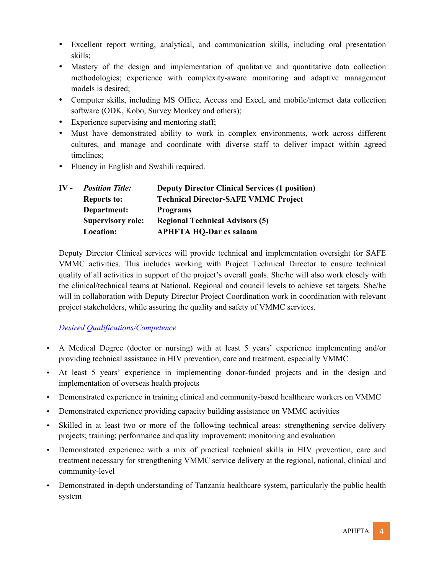- Excellent report writing, analytical, and communication skills, including oral presentation skills;
- Mastery of the design and implementation of qualitative and quantitative data collection methodologies; experience with complexity-aware monitoring and adaptive management models is desired;
- Computer skills, including MS Office, Access and Excel, and mobile/internet data collection software (ODK, Kobo, Survey Monkey and others);
- Experience supervising and mentoring staff;
- Must have demonstrated ability to work in complex environments, work across different cultures, and manage and coordinate with diverse staff to deliver impact within agreed timelines;
- Fluency in English and Swahili required.

| $\bf{IV}$ - | <b>Position Title:</b>   | <b>Deputy Director Clinical Services (1 position)</b> |
|-------------|--------------------------|-------------------------------------------------------|
|             | <b>Reports to:</b>       | <b>Technical Director-SAFE VMMC Project</b>           |
|             | Department:              | <b>Programs</b>                                       |
|             | <b>Supervisory role:</b> | <b>Regional Technical Advisors (5)</b>                |
|             | Location:                | <b>APHFTA HQ-Dar es salaam</b>                        |

Deputy Director Clinical services will provide technical and implementation oversight for SAFE VMMC activities. This includes working with Project Technical Director to ensure technical quality of all activities in support of the project's overall goals. She/he will also work closely with the clinical/technical teams at National, Regional and council levels to achieve set targets. She/he will in collaboration with Deputy Director Project Coordination work in coordination with relevant project stakeholders, while assuring the quality and safety of VMMC services.

- A Medical Degree (doctor or nursing) with at least 5 years' experience implementing and/or providing technical assistance in HIV prevention, care and treatment, especially VMMC
- At least 5 years' experience in implementing donor-funded projects and in the design and implementation of overseas health projects
- Demonstrated experience in training clinical and community-based healthcare workers on VMMC
- Demonstrated experience providing capacity building assistance on VMMC activities
- Skilled in at least two or more of the following technical areas: strengthening service delivery projects; training; performance and quality improvement; monitoring and evaluation
- Demonstrated experience with a mix of practical technical skills in HIV prevention, care and treatment necessary for strengthening VMMC service delivery at the regional, national, clinical and community-level
- Demonstrated in-depth understanding of Tanzania healthcare system, particularly the public health system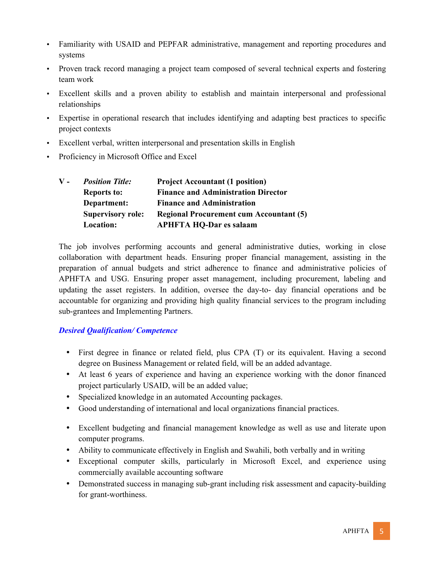- Familiarity with USAID and PEPFAR administrative, management and reporting procedures and systems
- Proven track record managing a project team composed of several technical experts and fostering team work
- Excellent skills and a proven ability to establish and maintain interpersonal and professional relationships
- Expertise in operational research that includes identifying and adapting best practices to specific project contexts
- Excellent verbal, written interpersonal and presentation skills in English
- Proficiency in Microsoft Office and Excel

| ${\bf V}$ - | <b>Position Title:</b>   | <b>Project Accountant (1 position)</b>         |
|-------------|--------------------------|------------------------------------------------|
|             | <b>Reports to:</b>       | <b>Finance and Administration Director</b>     |
|             | Department:              | <b>Finance and Administration</b>              |
|             | <b>Supervisory role:</b> | <b>Regional Procurement cum Accountant (5)</b> |
|             | Location:                | <b>APHFTA HQ-Dar es salaam</b>                 |

The job involves performing accounts and general administrative duties, working in close collaboration with department heads. Ensuring proper financial management, assisting in the preparation of annual budgets and strict adherence to finance and administrative policies of APHFTA and USG. Ensuring proper asset management, including procurement, labeling and updating the asset registers. In addition, oversee the day-to- day financial operations and be accountable for organizing and providing high quality financial services to the program including sub-grantees and Implementing Partners.

- First degree in finance or related field, plus CPA (T) or its equivalent. Having a second degree on Business Management or related field, will be an added advantage.
- At least 6 years of experience and having an experience working with the donor financed project particularly USAID, will be an added value;
- Specialized knowledge in an automated Accounting packages.
- Good understanding of international and local organizations financial practices.
- Excellent budgeting and financial management knowledge as well as use and literate upon computer programs.
- Ability to communicate effectively in English and Swahili, both verbally and in writing
- Exceptional computer skills, particularly in Microsoft Excel, and experience using commercially available accounting software
- Demonstrated success in managing sub-grant including risk assessment and capacity-building for grant-worthiness.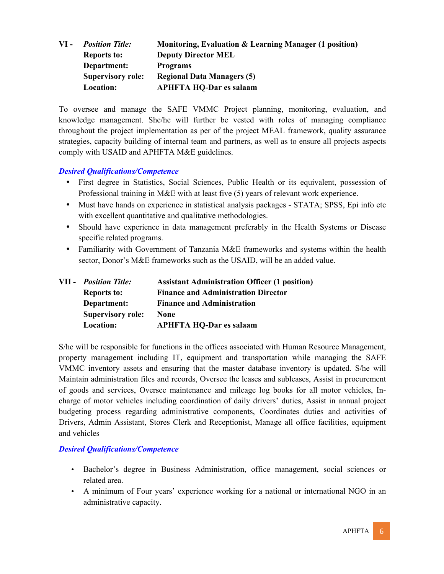|                          | Monitoring, Evaluation & Learning Manager (1 position) |
|--------------------------|--------------------------------------------------------|
| <b>Reports to:</b>       | <b>Deputy Director MEL</b>                             |
| Department:              | <b>Programs</b>                                        |
| <b>Supervisory role:</b> | <b>Regional Data Managers (5)</b>                      |
| Location:                | <b>APHFTA HQ-Dar es salaam</b>                         |
|                          | <b>Position Title:</b>                                 |

To oversee and manage the SAFE VMMC Project planning, monitoring, evaluation, and knowledge management. She/he will further be vested with roles of managing compliance throughout the project implementation as per of the project MEAL framework, quality assurance strategies, capacity building of internal team and partners, as well as to ensure all projects aspects comply with USAID and APHFTA M&E guidelines.

### *Desired Qualifications/Competence*

- First degree in Statistics, Social Sciences, Public Health or its equivalent, possession of Professional training in M&E with at least five (5) years of relevant work experience.
- Must have hands on experience in statistical analysis packages STATA; SPSS, Epi info etc with excellent quantitative and qualitative methodologies.
- Should have experience in data management preferably in the Health Systems or Disease specific related programs.
- Familiarity with Government of Tanzania M&E frameworks and systems within the health sector, Donor's M&E frameworks such as the USAID, will be an added value.

|  | <b>VII</b> - <b>Position Title</b> : | <b>Assistant Administration Officer (1 position)</b> |
|--|--------------------------------------|------------------------------------------------------|
|  | <b>Reports to:</b>                   | <b>Finance and Administration Director</b>           |
|  | Department:                          | <b>Finance and Administration</b>                    |
|  | <b>Supervisory role:</b>             | None                                                 |
|  | Location:                            | <b>APHFTA HQ-Dar es salaam</b>                       |

S/he will be responsible for functions in the offices associated with Human Resource Management, property management including IT, equipment and transportation while managing the SAFE VMMC inventory assets and ensuring that the master database inventory is updated. S/he will Maintain administration files and records, Oversee the leases and subleases, Assist in procurement of goods and services, Oversee maintenance and mileage log books for all motor vehicles, Incharge of motor vehicles including coordination of daily drivers' duties, Assist in annual project budgeting process regarding administrative components, Coordinates duties and activities of Drivers, Admin Assistant, Stores Clerk and Receptionist, Manage all office facilities, equipment and vehicles

- Bachelor's degree in Business Administration, office management, social sciences or related area.
- A minimum of Four years' experience working for a national or international NGO in an administrative capacity.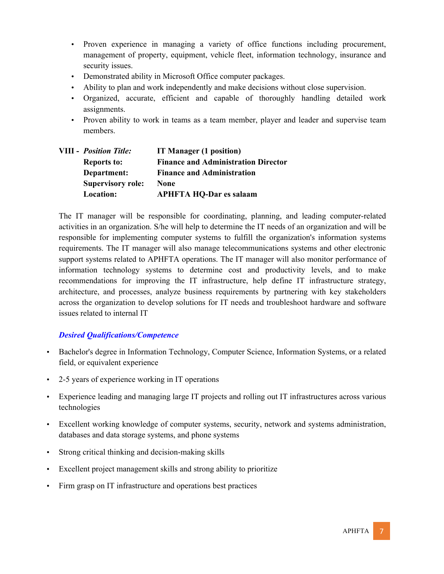- Proven experience in managing a variety of office functions including procurement, management of property, equipment, vehicle fleet, information technology, insurance and security issues.
- Demonstrated ability in Microsoft Office computer packages.
- Ability to plan and work independently and make decisions without close supervision.
- Organized, accurate, efficient and capable of thoroughly handling detailed work assignments.
- Proven ability to work in teams as a team member, player and leader and supervise team members.

| <b>VIII</b> - <i>Position Title</i> : | IT Manager (1 position)                    |
|---------------------------------------|--------------------------------------------|
| <b>Reports to:</b>                    | <b>Finance and Administration Director</b> |
| Department:                           | <b>Finance and Administration</b>          |
| <b>Supervisory role:</b>              | <b>None</b>                                |
| Location:                             | <b>APHFTA HQ-Dar es salaam</b>             |

The IT manager will be responsible for coordinating, planning, and leading computer-related activities in an organization. S/he will help to determine the IT needs of an organization and will be responsible for implementing computer systems to fulfill the organization's information systems requirements. The IT manager will also manage telecommunications systems and other electronic support systems related to APHFTA operations. The IT manager will also monitor performance of information technology systems to determine cost and productivity levels, and to make recommendations for improving the IT infrastructure, help define IT infrastructure strategy, architecture, and processes, analyze business requirements by partnering with key stakeholders across the organization to develop solutions for IT needs and troubleshoot hardware and software issues related to internal IT

- Bachelor's degree in Information Technology, Computer Science, Information Systems, or a related field, or equivalent experience
- 2-5 years of experience working in IT operations
- Experience leading and managing large IT projects and rolling out IT infrastructures across various technologies
- Excellent working knowledge of computer systems, security, network and systems administration, databases and data storage systems, and phone systems
- Strong critical thinking and decision-making skills
- Excellent project management skills and strong ability to prioritize
- Firm grasp on IT infrastructure and operations best practices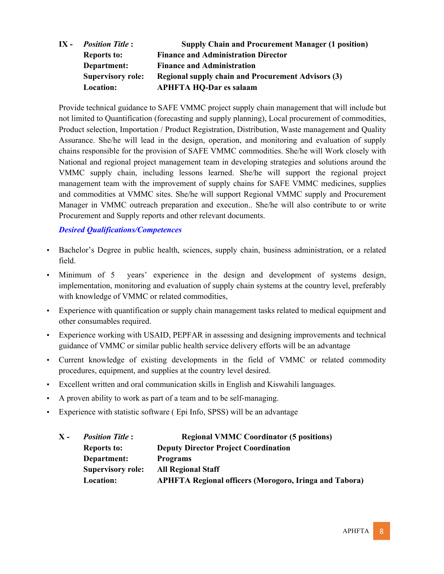**IX -** *Position Title* **: Supply Chain and Procurement Manager (1 position) Reports to: Finance and Administration Director Department: Finance and Administration Supervisory role: Regional supply chain and Procurement Advisors (3) Location: APHFTA HQ-Dar es salaam**

Provide technical guidance to SAFE VMMC project supply chain management that will include but not limited to Quantification (forecasting and supply planning), Local procurement of commodities, Product selection, Importation / Product Registration, Distribution, Waste management and Quality Assurance. She/he will lead in the design, operation, and monitoring and evaluation of supply chains responsible for the provision of SAFE VMMC commodities. She/he will Work closely with National and regional project management team in developing strategies and solutions around the VMMC supply chain, including lessons learned. She/he will support the regional project management team with the improvement of supply chains for SAFE VMMC medicines, supplies and commodities at VMMC sites. She/he will support Regional VMMC supply and Procurement Manager in VMMC outreach preparation and execution.. She/he will also contribute to or write Procurement and Supply reports and other relevant documents.

- Bachelor's Degree in public health, sciences, supply chain, business administration, or a related field.
- Minimum of 5 years' experience in the design and development of systems design, implementation, monitoring and evaluation of supply chain systems at the country level, preferably with knowledge of VMMC or related commodities,
- Experience with quantification or supply chain management tasks related to medical equipment and other consumables required.
- Experience working with USAID, PEPFAR in assessing and designing improvements and technical guidance of VMMC or similar public health service delivery efforts will be an advantage
- Current knowledge of existing developments in the field of VMMC or related commodity procedures, equipment, and supplies at the country level desired.
- Excellent written and oral communication skills in English and Kiswahili languages.
- A proven ability to work as part of a team and to be self-managing.
- Experience with statistic software ( Epi Info, SPSS) will be an advantage

| X - | <b>Position Title:</b>   | <b>Regional VMMC Coordinator (5 positions)</b>                |
|-----|--------------------------|---------------------------------------------------------------|
|     | <b>Reports to:</b>       | <b>Deputy Director Project Coordination</b>                   |
|     | Department:              | <b>Programs</b>                                               |
|     | <b>Supervisory role:</b> | <b>All Regional Staff</b>                                     |
|     | Location:                | <b>APHFTA Regional officers (Morogoro, Iringa and Tabora)</b> |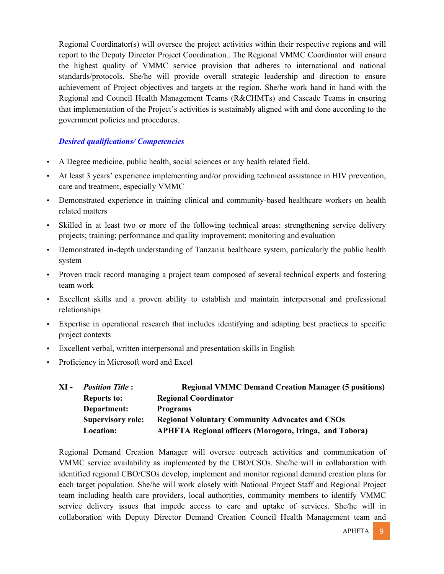Regional Coordinator(s) will oversee the project activities within their respective regions and will report to the Deputy Director Project Coordination.. The Regional VMMC Coordinator will ensure the highest quality of VMMC service provision that adheres to international and national standards/protocols. She/he will provide overall strategic leadership and direction to ensure achievement of Project objectives and targets at the region. She/he work hand in hand with the Regional and Council Health Management Teams (R&CHMTs) and Cascade Teams in ensuring that implementation of the Project's activities is sustainably aligned with and done according to the government policies and procedures.

### *Desired qualifications/ Competencies*

- A Degree medicine, public health, social sciences or any health related field.
- At least 3 years' experience implementing and/or providing technical assistance in HIV prevention, care and treatment, especially VMMC
- Demonstrated experience in training clinical and community-based healthcare workers on health related matters
- Skilled in at least two or more of the following technical areas: strengthening service delivery projects; training; performance and quality improvement; monitoring and evaluation
- Demonstrated in-depth understanding of Tanzania healthcare system, particularly the public health system
- Proven track record managing a project team composed of several technical experts and fostering team work
- Excellent skills and a proven ability to establish and maintain interpersonal and professional relationships
- Expertise in operational research that includes identifying and adapting best practices to specific project contexts
- Excellent verbal, written interpersonal and presentation skills in English
- Proficiency in Microsoft word and Excel

| XI - | <b>Position Title:</b>   | <b>Regional VMMC Demand Creation Manager (5 positions)</b>     |
|------|--------------------------|----------------------------------------------------------------|
|      | <b>Reports to:</b>       | <b>Regional Coordinator</b>                                    |
|      | Department:              | <b>Programs</b>                                                |
|      | <b>Supervisory role:</b> | <b>Regional Voluntary Community Advocates and CSOs</b>         |
|      | Location:                | <b>APHFTA Regional officers (Morogoro, Iringa, and Tabora)</b> |

Regional Demand Creation Manager will oversee outreach activities and communication of VMMC service availability as implemented by the CBO/CSOs. She/he will in collaboration with identified regional CBO/CSOs develop, implement and monitor regional demand creation plans for each target population. She/he will work closely with National Project Staff and Regional Project team including health care providers, local authorities, community members to identify VMMC service delivery issues that impede access to care and uptake of services. She/he will in collaboration with Deputy Director Demand Creation Council Health Management team and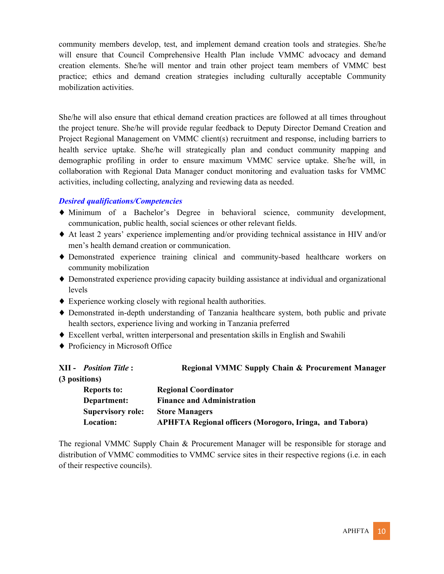community members develop, test, and implement demand creation tools and strategies. She/he will ensure that Council Comprehensive Health Plan include VMMC advocacy and demand creation elements. She/he will mentor and train other project team members of VMMC best practice; ethics and demand creation strategies including culturally acceptable Community mobilization activities.

She/he will also ensure that ethical demand creation practices are followed at all times throughout the project tenure. She/he will provide regular feedback to Deputy Director Demand Creation and Project Regional Management on VMMC client(s) recruitment and response, including barriers to health service uptake. She/he will strategically plan and conduct community mapping and demographic profiling in order to ensure maximum VMMC service uptake. She/he will, in collaboration with Regional Data Manager conduct monitoring and evaluation tasks for VMMC activities, including collecting, analyzing and reviewing data as needed.

### *Desired qualifications/Competencies*

- ♦ Minimum of a Bachelor's Degree in behavioral science, community development, communication, public health, social sciences or other relevant fields.
- ♦ At least 2 years' experience implementing and/or providing technical assistance in HIV and/or men's health demand creation or communication.
- ♦ Demonstrated experience training clinical and community-based healthcare workers on community mobilization
- ♦ Demonstrated experience providing capacity building assistance at individual and organizational levels
- ♦ Experience working closely with regional health authorities.
- ♦ Demonstrated in-depth understanding of Tanzania healthcare system, both public and private health sectors, experience living and working in Tanzania preferred
- ♦ Excellent verbal, written interpersonal and presentation skills in English and Swahili
- ♦ Proficiency in Microsoft Office

| (3 positions)                                                               |  |
|-----------------------------------------------------------------------------|--|
| <b>Regional Coordinator</b><br><b>Reports to:</b>                           |  |
| <b>Finance and Administration</b><br>Department:                            |  |
| <b>Supervisory role:</b><br><b>Store Managers</b>                           |  |
| <b>APHFTA Regional officers (Morogoro, Iringa, and Tabora)</b><br>Location: |  |

The regional VMMC Supply Chain & Procurement Manager will be responsible for storage and distribution of VMMC commodities to VMMC service sites in their respective regions (i.e. in each of their respective councils).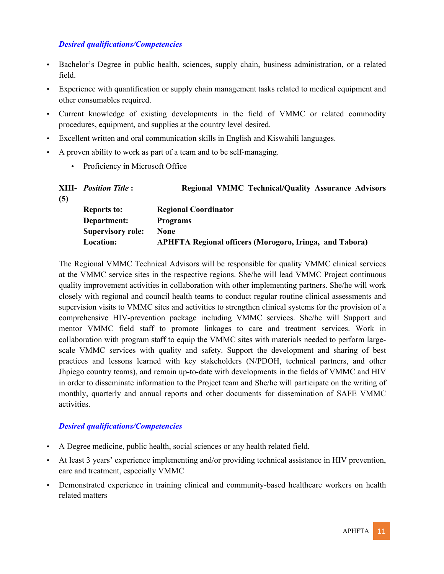### *Desired qualifications/Competencies*

- Bachelor's Degree in public health, sciences, supply chain, business administration, or a related field.
- Experience with quantification or supply chain management tasks related to medical equipment and other consumables required.
- Current knowledge of existing developments in the field of VMMC or related commodity procedures, equipment, and supplies at the country level desired.
- Excellent written and oral communication skills in English and Kiswahili languages.
- A proven ability to work as part of a team and to be self-managing.
	- Proficiency in Microsoft Office

|     | <b>XIII-</b> <i>Position Title</i> : | <b>Regional VMMC Technical/Quality Assurance Advisors</b>      |
|-----|--------------------------------------|----------------------------------------------------------------|
| (5) |                                      |                                                                |
|     | <b>Reports to:</b>                   | <b>Regional Coordinator</b>                                    |
|     | Department:                          | <b>Programs</b>                                                |
|     | <b>Supervisory role:</b>             | None                                                           |
|     | Location:                            | <b>APHFTA Regional officers (Morogoro, Iringa, and Tabora)</b> |

The Regional VMMC Technical Advisors will be responsible for quality VMMC clinical services at the VMMC service sites in the respective regions. She/he will lead VMMC Project continuous quality improvement activities in collaboration with other implementing partners. She/he will work closely with regional and council health teams to conduct regular routine clinical assessments and supervision visits to VMMC sites and activities to strengthen clinical systems for the provision of a comprehensive HIV-prevention package including VMMC services. She/he will Support and mentor VMMC field staff to promote linkages to care and treatment services. Work in collaboration with program staff to equip the VMMC sites with materials needed to perform largescale VMMC services with quality and safety. Support the development and sharing of best practices and lessons learned with key stakeholders (N/PDOH, technical partners, and other Jhpiego country teams), and remain up-to-date with developments in the fields of VMMC and HIV in order to disseminate information to the Project team and She/he will participate on the writing of monthly, quarterly and annual reports and other documents for dissemination of SAFE VMMC activities.

- A Degree medicine, public health, social sciences or any health related field.
- At least 3 years' experience implementing and/or providing technical assistance in HIV prevention, care and treatment, especially VMMC
- Demonstrated experience in training clinical and community-based healthcare workers on health related matters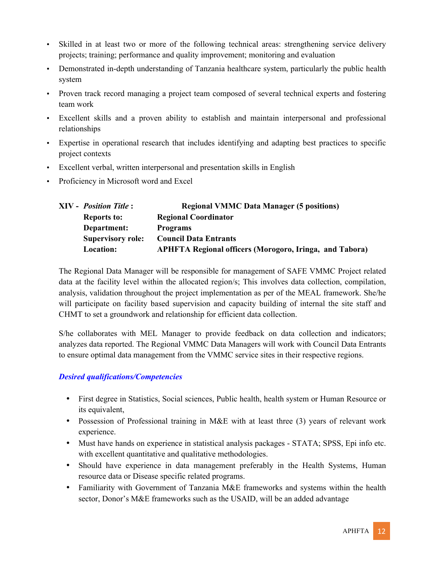- Skilled in at least two or more of the following technical areas: strengthening service delivery projects; training; performance and quality improvement; monitoring and evaluation
- Demonstrated in-depth understanding of Tanzania healthcare system, particularly the public health system
- Proven track record managing a project team composed of several technical experts and fostering team work
- Excellent skills and a proven ability to establish and maintain interpersonal and professional relationships
- Expertise in operational research that includes identifying and adapting best practices to specific project contexts
- Excellent verbal, written interpersonal and presentation skills in English
- Proficiency in Microsoft word and Excel

| XIV - Position Title :   | <b>Regional VMMC Data Manager (5 positions)</b>                |
|--------------------------|----------------------------------------------------------------|
| <b>Reports to:</b>       | <b>Regional Coordinator</b>                                    |
| Department:              | <b>Programs</b>                                                |
| <b>Supervisory role:</b> | <b>Council Data Entrants</b>                                   |
| Location:                | <b>APHFTA Regional officers (Morogoro, Iringa, and Tabora)</b> |

The Regional Data Manager will be responsible for management of SAFE VMMC Project related data at the facility level within the allocated region/s; This involves data collection, compilation, analysis, validation throughout the project implementation as per of the MEAL framework. She/he will participate on facility based supervision and capacity building of internal the site staff and CHMT to set a groundwork and relationship for efficient data collection.

S/he collaborates with MEL Manager to provide feedback on data collection and indicators; analyzes data reported. The Regional VMMC Data Managers will work with Council Data Entrants to ensure optimal data management from the VMMC service sites in their respective regions.

- First degree in Statistics, Social sciences, Public health, health system or Human Resource or its equivalent,
- Possession of Professional training in M&E with at least three (3) years of relevant work experience.
- Must have hands on experience in statistical analysis packages STATA; SPSS, Epi info etc. with excellent quantitative and qualitative methodologies.
- Should have experience in data management preferably in the Health Systems, Human resource data or Disease specific related programs.
- Familiarity with Government of Tanzania M&E frameworks and systems within the health sector, Donor's M&E frameworks such as the USAID, will be an added advantage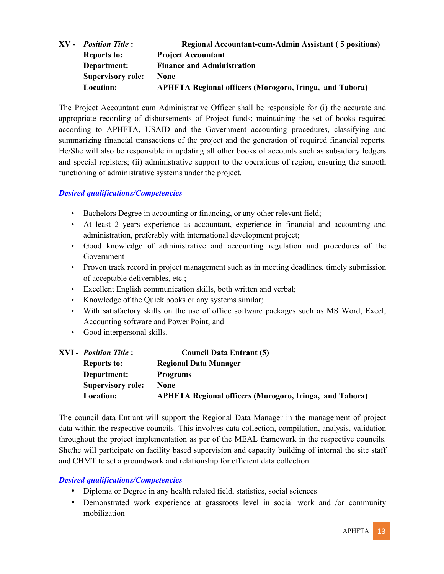|  | <b>XV</b> - <i>Position Title</i> : | <b>Regional Accountant-cum-Admin Assistant (5 positions)</b>   |
|--|-------------------------------------|----------------------------------------------------------------|
|  | <b>Reports to:</b>                  | <b>Project Accountant</b>                                      |
|  | Department:                         | <b>Finance and Administration</b>                              |
|  | <b>Supervisory role:</b>            | None                                                           |
|  | Location:                           | <b>APHFTA Regional officers (Morogoro, Iringa, and Tabora)</b> |

The Project Accountant cum Administrative Officer shall be responsible for (i) the accurate and appropriate recording of disbursements of Project funds; maintaining the set of books required according to APHFTA, USAID and the Government accounting procedures, classifying and summarizing financial transactions of the project and the generation of required financial reports. He/She will also be responsible in updating all other books of accounts such as subsidiary ledgers and special registers; (ii) administrative support to the operations of region, ensuring the smooth functioning of administrative systems under the project.

### *Desired qualifications/Competencies*

- Bachelors Degree in accounting or financing, or any other relevant field;
- At least 2 years experience as accountant, experience in financial and accounting and administration, preferably with international development project;
- Good knowledge of administrative and accounting regulation and procedures of the Government
- Proven track record in project management such as in meeting deadlines, timely submission of acceptable deliverables, etc.;
- Excellent English communication skills, both written and verbal;
- Knowledge of the Quick books or any systems similar;
- With satisfactory skills on the use of office software packages such as MS Word, Excel, Accounting software and Power Point; and
- Good interpersonal skills.

| XVI - Position Title :   | <b>Council Data Entrant (5)</b>                                |
|--------------------------|----------------------------------------------------------------|
| <b>Reports to:</b>       | <b>Regional Data Manager</b>                                   |
| Department:              | <b>Programs</b>                                                |
| <b>Supervisory role:</b> | <b>None</b>                                                    |
| Location:                | <b>APHFTA Regional officers (Morogoro, Iringa, and Tabora)</b> |

The council data Entrant will support the Regional Data Manager in the management of project data within the respective councils. This involves data collection, compilation, analysis, validation throughout the project implementation as per of the MEAL framework in the respective councils. She/he will participate on facility based supervision and capacity building of internal the site staff and CHMT to set a groundwork and relationship for efficient data collection.

- Diploma or Degree in any health related field, statistics, social sciences
- Demonstrated work experience at grassroots level in social work and /or community mobilization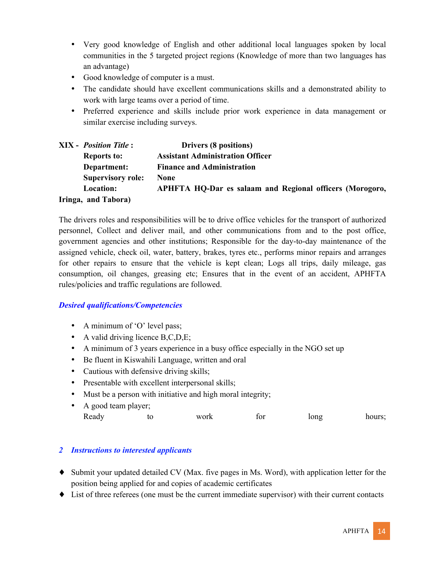- Very good knowledge of English and other additional local languages spoken by local communities in the 5 targeted project regions (Knowledge of more than two languages has an advantage)
- Good knowledge of computer is a must.
- The candidate should have excellent communications skills and a demonstrated ability to work with large teams over a period of time.
- Preferred experience and skills include prior work experience in data management or similar exercise including surveys.

|  | <b>XIX</b> - <i>Position Title</i> : | Drivers (8 positions)                                    |
|--|--------------------------------------|----------------------------------------------------------|
|  | <b>Reports to:</b>                   | <b>Assistant Administration Officer</b>                  |
|  | Department:                          | <b>Finance and Administration</b>                        |
|  | <b>Supervisory role:</b>             | None                                                     |
|  | Location:                            | APHFTA HQ-Dar es salaam and Regional officers (Morogoro, |
|  | Iringa, and Tabora)                  |                                                          |

The drivers roles and responsibilities will be to drive office vehicles for the transport of authorized personnel, Collect and deliver mail, and other communications from and to the post office, government agencies and other institutions; Responsible for the day-to-day maintenance of the assigned vehicle, check oil, water, battery, brakes, tyres etc., performs minor repairs and arranges for other repairs to ensure that the vehicle is kept clean; Logs all trips, daily mileage, gas consumption, oil changes, greasing etc; Ensures that in the event of an accident, APHFTA rules/policies and traffic regulations are followed.

## *Desired qualifications/Competencies*

- A minimum of 'O' level pass;
- A valid driving licence  $B.C.D.E$ ;
- A minimum of 3 years experience in a busy office especially in the NGO set up
- Be fluent in Kiswahili Language, written and oral
- Cautious with defensive driving skills;
- Presentable with excellent interpersonal skills;
- Must be a person with initiative and high moral integrity;
- A good team player; Ready to work for long hours;

## *2 Instructions to interested applicants*

- ♦ Submit your updated detailed CV (Max. five pages in Ms. Word), with application letter for the position being applied for and copies of academic certificates
- ♦ List of three referees (one must be the current immediate supervisor) with their current contacts